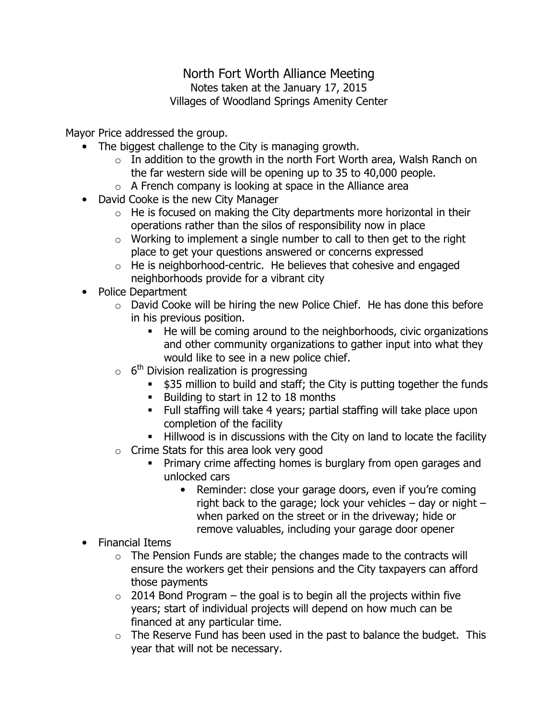## North Fort Worth Alliance Meeting Notes taken at the January 17, 2015 Villages of Woodland Springs Amenity Center

Mayor Price addressed the group.

- The biggest challenge to the City is managing growth.
	- $\circ$  In addition to the growth in the north Fort Worth area, Walsh Ranch on the far western side will be opening up to 35 to 40,000 people.
	- $\circ$  A French company is looking at space in the Alliance area
- David Cooke is the new City Manager
	- $\circ$  He is focused on making the City departments more horizontal in their operations rather than the silos of responsibility now in place
	- $\circ$  Working to implement a single number to call to then get to the right place to get your questions answered or concerns expressed
	- $\circ$  He is neighborhood-centric. He believes that cohesive and engaged neighborhoods provide for a vibrant city
- Police Department
	- $\circ$  David Cooke will be hiring the new Police Chief. He has done this before in his previous position.
		- He will be coming around to the neighborhoods, civic organizations and other community organizations to gather input into what they would like to see in a new police chief.
	- $\circ$  6<sup>th</sup> Division realization is progressing
		- **535 million to build and staff; the City is putting together the funds**
		- **Building to start in 12 to 18 months**
		- Full staffing will take 4 years; partial staffing will take place upon completion of the facility
		- Hillwood is in discussions with the City on land to locate the facility
	- o Crime Stats for this area look very good
		- **Primary crime affecting homes is burglary from open garages and** unlocked cars
			- Reminder: close your garage doors, even if you're coming right back to the garage; lock your vehicles  $-$  day or night  $$ when parked on the street or in the driveway; hide or remove valuables, including your garage door opener
- Financial Items
	- $\circ$  The Pension Funds are stable; the changes made to the contracts will ensure the workers get their pensions and the City taxpayers can afford those payments
	- $\circ$  2014 Bond Program the goal is to begin all the projects within five years; start of individual projects will depend on how much can be financed at any particular time.
	- $\circ$  The Reserve Fund has been used in the past to balance the budget. This year that will not be necessary.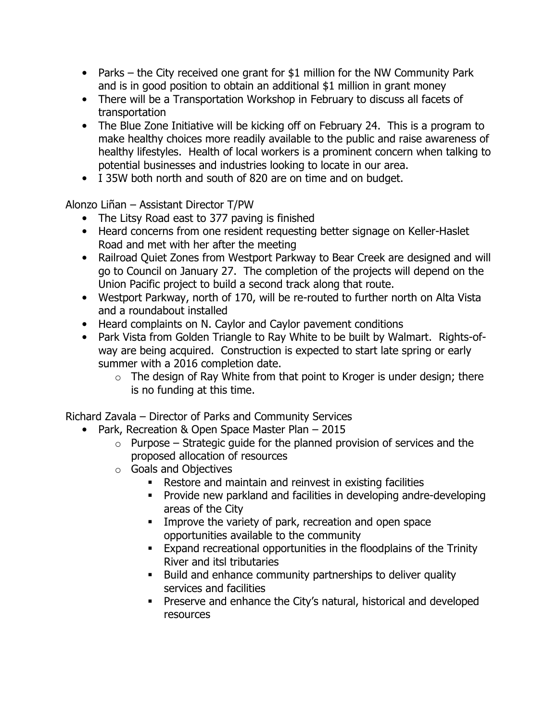- Parks the City received one grant for \$1 million for the NW Community Park and is in good position to obtain an additional \$1 million in grant money
- There will be a Transportation Workshop in February to discuss all facets of transportation
- The Blue Zone Initiative will be kicking off on February 24. This is a program to make healthy choices more readily available to the public and raise awareness of healthy lifestyles. Health of local workers is a prominent concern when talking to potential businesses and industries looking to locate in our area.
- I 35W both north and south of 820 are on time and on budget.

Alonzo Liñan – Assistant Director T/PW

- The Litsy Road east to 377 paving is finished
- Heard concerns from one resident requesting better signage on Keller-Haslet Road and met with her after the meeting
- Railroad Quiet Zones from Westport Parkway to Bear Creek are designed and will go to Council on January 27. The completion of the projects will depend on the Union Pacific project to build a second track along that route.
- Westport Parkway, north of 170, will be re-routed to further north on Alta Vista and a roundabout installed
- Heard complaints on N. Caylor and Caylor pavement conditions
- Park Vista from Golden Triangle to Ray White to be built by Walmart. Rights-ofway are being acquired. Construction is expected to start late spring or early summer with a 2016 completion date.
	- $\circ$  The design of Ray White from that point to Kroger is under design; there is no funding at this time.

Richard Zavala – Director of Parks and Community Services

- Park, Recreation & Open Space Master Plan 2015
	- $\circ$  Purpose Strategic guide for the planned provision of services and the proposed allocation of resources
	- o Goals and Objectives
		- Restore and maintain and reinvest in existing facilities
		- **Provide new parkland and facilities in developing andre-developing** areas of the City
		- **IMPROVE the variety of park, recreation and open space** opportunities available to the community
		- Expand recreational opportunities in the floodplains of the Trinity River and itsl tributaries
		- Build and enhance community partnerships to deliver quality services and facilities
		- **Preserve and enhance the City's natural, historical and developed** resources